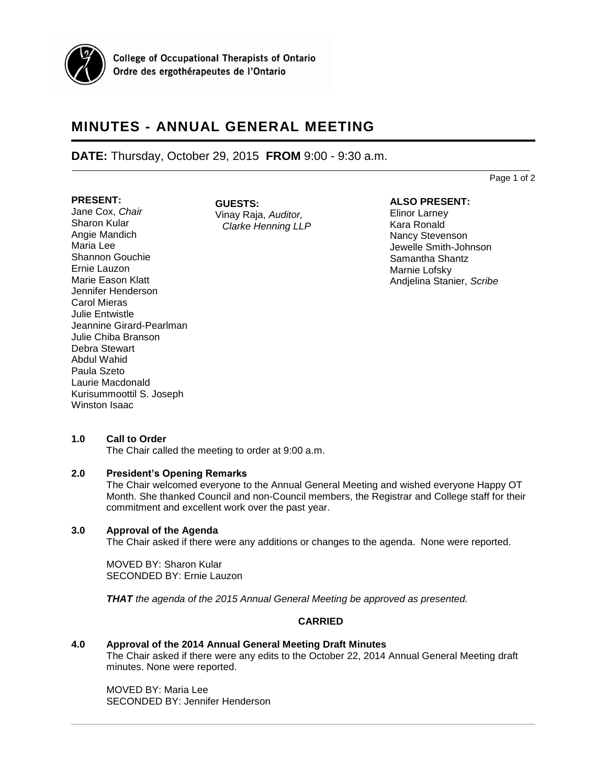

# **MINUTES - ANNUAL GENERAL MEETING**

## **DATE:** Thursday, October 29, 2015 **FROM** 9:00 - 9:30 a.m.

Page 1 of 2

#### **PRESENT:**

Jane Cox, *Chair* Sharon Kular Angie Mandich Maria Lee Shannon Gouchie Ernie Lauzon Marie Eason Klatt Jennifer Henderson Carol Mieras Julie Entwistle Jeannine Girard-Pearlman Julie Chiba Branson Debra Stewart Abdul Wahid Paula Szeto Laurie Macdonald Kurisummoottil S. Joseph Winston Isaac

**GUESTS:** Vinay Raja, *Auditor, Clarke Henning LLP*

## **ALSO PRESENT:**

Elinor Larney Kara Ronald Nancy Stevenson Jewelle Smith-Johnson Samantha Shantz Marnie Lofsky Andjelina Stanier, *Scribe*

## **1.0 Call to Order**

The Chair called the meeting to order at 9:00 a.m.

## **2.0 President's Opening Remarks**

The Chair welcomed everyone to the Annual General Meeting and wished everyone Happy OT Month. She thanked Council and non-Council members, the Registrar and College staff for their commitment and excellent work over the past year.

## **3.0 Approval of the Agenda**

The Chair asked if there were any additions or changes to the agenda. None were reported.

MOVED BY: Sharon Kular SECONDED BY: Ernie Lauzon

*THAT the agenda of the 2015 Annual General Meeting be approved as presented.* 

## **CARRIED**

## **4.0 Approval of the 2014 Annual General Meeting Draft Minutes**

The Chair asked if there were any edits to the October 22, 2014 Annual General Meeting draft minutes. None were reported.

MOVED BY: Maria Lee SECONDED BY: Jennifer Henderson